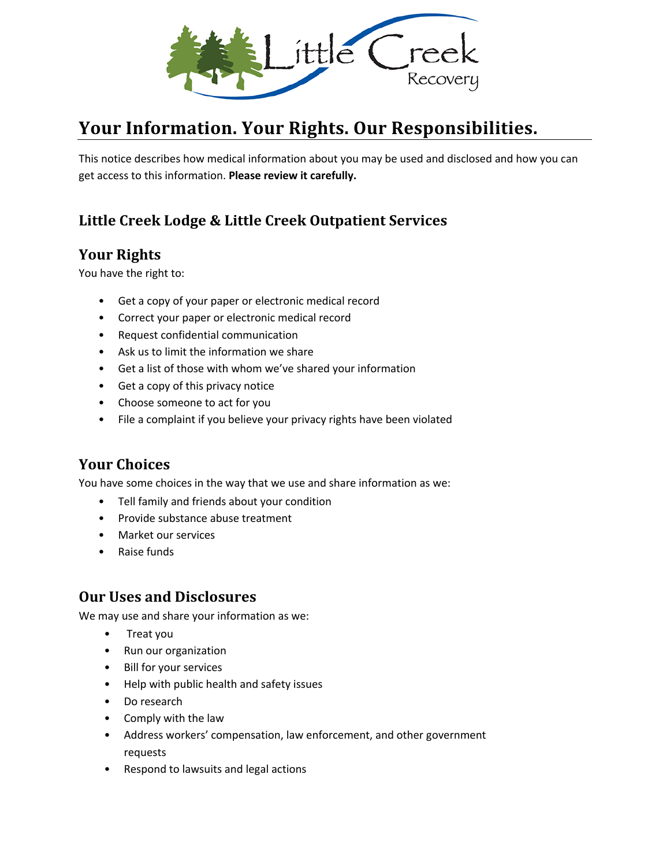

# Your Information. Your Rights. Our Responsibilities.

This notice describes how medical information about you may be used and disclosed and how you can get access to this information. **Please review it carefully.**

# **Little Creek Lodge & Little Creek Outpatient Services**

# **Your Rights**

You have the right to:

- Get a copy of your paper or electronic medical record
- Correct your paper or electronic medical record
- Request confidential communication
- Ask us to limit the information we share
- Get a list of those with whom we've shared your information
- Get a copy of this privacy notice
- Choose someone to act for you
- File a complaint if you believe your privacy rights have been violated

# **Your Choices**

You have some choices in the way that we use and share information as we:

- Tell family and friends about your condition
- Provide substance abuse treatment
- Market our services
- Raise funds

### **Our Uses and Disclosures**

We may use and share your information as we:

- Treat you
- Run our organization
- Bill for your services
- Help with public health and safety issues
- Do research
- Comply with the law
- Address workers' compensation, law enforcement, and other government requests
- Respond to lawsuits and legal actions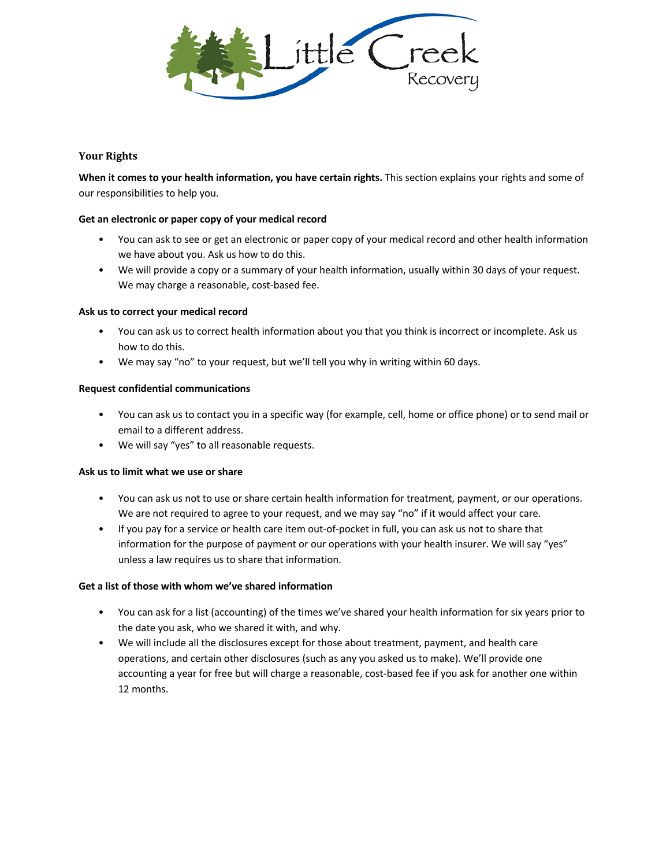

### **Your Rights**

**When it comes to your health information, you have certain rights.** This section explains your rights and some of our responsibilities to help you.

#### **Get an electronic or paper copy of your medical record**

- You can ask to see or get an electronic or paper copy of your medical record and other health information we have about you. Ask us how to do this.
- We will provide a copy or a summary of your health information, usually within 30 days of your request. We may charge a reasonable, cost-based fee.

#### **Ask us to correct your medical record**

- You can ask us to correct health information about you that you think is incorrect or incomplete. Ask us how to do this.
- We may say "no" to your request, but we'll tell you why in writing within 60 days.

#### **Request confidential communications**

- You can ask us to contact you in a specific way (for example, cell, home or office phone) or to send mail or email to a different address.
- We will say "yes" to all reasonable requests.

#### **Ask us to limit what we use or share**

- You can ask us not to use or share certain health information for treatment, payment, or our operations. We are not required to agree to your request, and we may say "no" if it would affect your care.
- If you pay for a service or health care item out-of-pocket in full, you can ask us not to share that information for the purpose of payment or our operations with your health insurer. We will say "yes" unless a law requires us to share that information.

#### **Get a list of those with whom we've shared information**

- You can ask for a list (accounting) of the times we've shared your health information for six years prior to the date you ask, who we shared it with, and why.
- We will include all the disclosures except for those about treatment, payment, and health care operations, and certain other disclosures (such as any you asked us to make). We'll provide one accounting a year for free but will charge a reasonable, cost-based fee if you ask for another one within 12 months.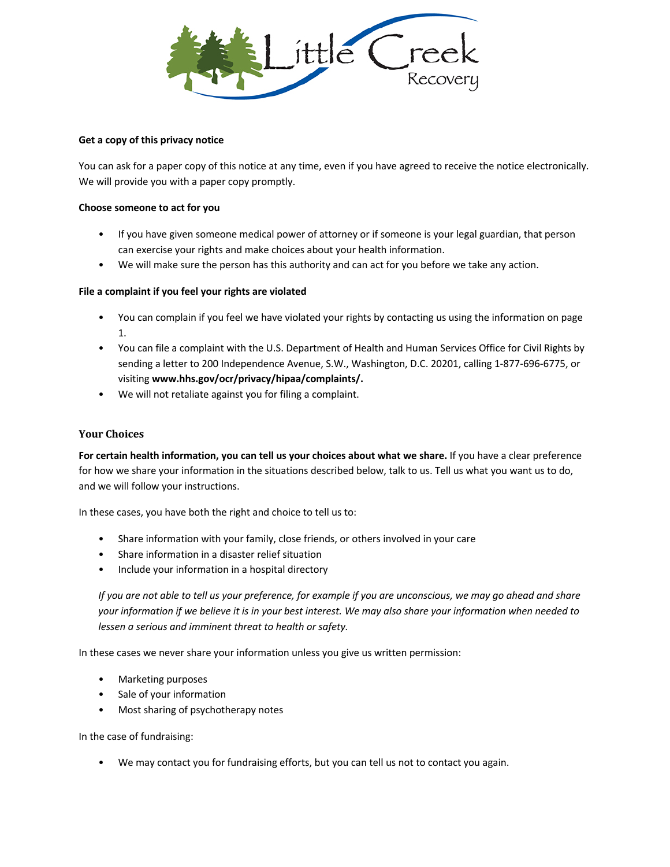

#### **Get a copy of this privacy notice**

You can ask for a paper copy of this notice at any time, even if you have agreed to receive the notice electronically. We will provide you with a paper copy promptly.

#### **Choose someone to act for you**

- If you have given someone medical power of attorney or if someone is your legal guardian, that person can exercise your rights and make choices about your health information.
- We will make sure the person has this authority and can act for you before we take any action.

#### **File a complaint if you feel your rights are violated**

- You can complain if you feel we have violated your rights by contacting us using the information on page 1.
- You can file a complaint with the U.S. Department of Health and Human Services Office for Civil Rights by sending a letter to 200 Independence Avenue, S.W., Washington, D.C. 20201, calling 1-877-696-6775, or visiting **www.hhs.gov/ocr/privacy/hipaa/complaints/.**
- We will not retaliate against you for filing a complaint.

#### **Your Choices**

**For certain health information, you can tell us your choices about what we share.** If you have a clear preference for how we share your information in the situations described below, talk to us. Tell us what you want us to do, and we will follow your instructions.

In these cases, you have both the right and choice to tell us to:

- Share information with your family, close friends, or others involved in your care
- Share information in a disaster relief situation
- Include your information in a hospital directory

*If you are not able to tell us your preference, for example if you are unconscious, we may go ahead and share your information if we believe it is in your best interest. We may also share your information when needed to lessen a serious and imminent threat to health or safety.*

In these cases we never share your information unless you give us written permission:

- Marketing purposes
- Sale of your information
- Most sharing of psychotherapy notes

In the case of fundraising:

• We may contact you for fundraising efforts, but you can tell us not to contact you again.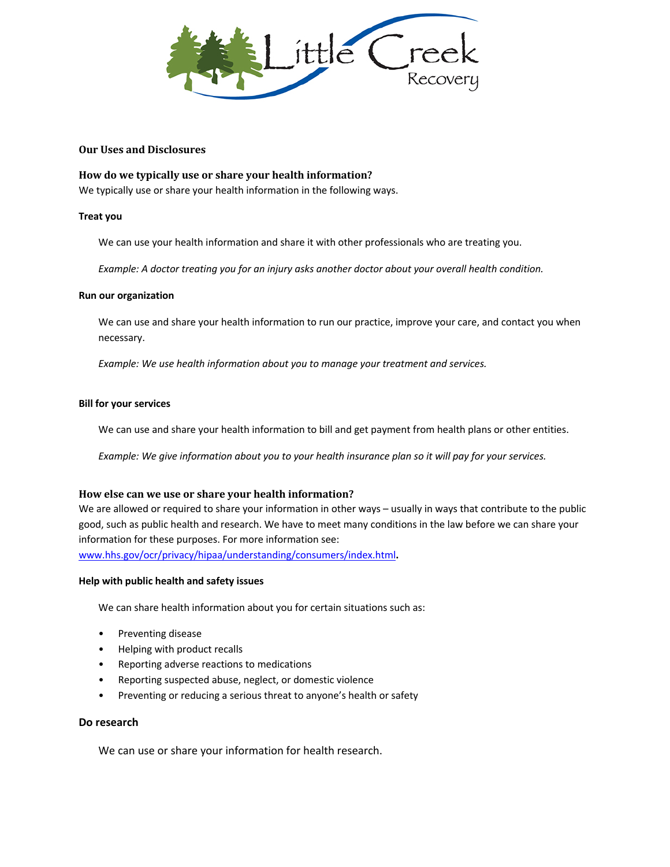

#### **Our Uses and Disclosures**

#### How do we typically use or share your health information?

We typically use or share your health information in the following ways.

#### **Treat you**

We can use your health information and share it with other professionals who are treating you.

*Example: A doctor treating you for an injury asks another doctor about your overall health condition.*

#### **Run our organization**

We can use and share your health information to run our practice, improve your care, and contact you when necessary.

*Example: We use health information about you to manage your treatment and services.* 

#### **Bill for your services**

We can use and share your health information to bill and get payment from health plans or other entities.

*Example: We give information about you to your health insurance plan so it will pay for your services.* 

#### How else can we use or share your health information?

We are allowed or required to share your information in other ways – usually in ways that contribute to the public good, such as public health and research. We have to meet many conditions in the law before we can share your information for these purposes. For more information see:

www.hhs.gov/ocr/privacy/hipaa/understanding/consumers/index.html**.**

#### **Help with public health and safety issues**

We can share health information about you for certain situations such as:

- Preventing disease
- Helping with product recalls
- Reporting adverse reactions to medications
- Reporting suspected abuse, neglect, or domestic violence
- Preventing or reducing a serious threat to anyone's health or safety

#### **Do research**

We can use or share your information for health research.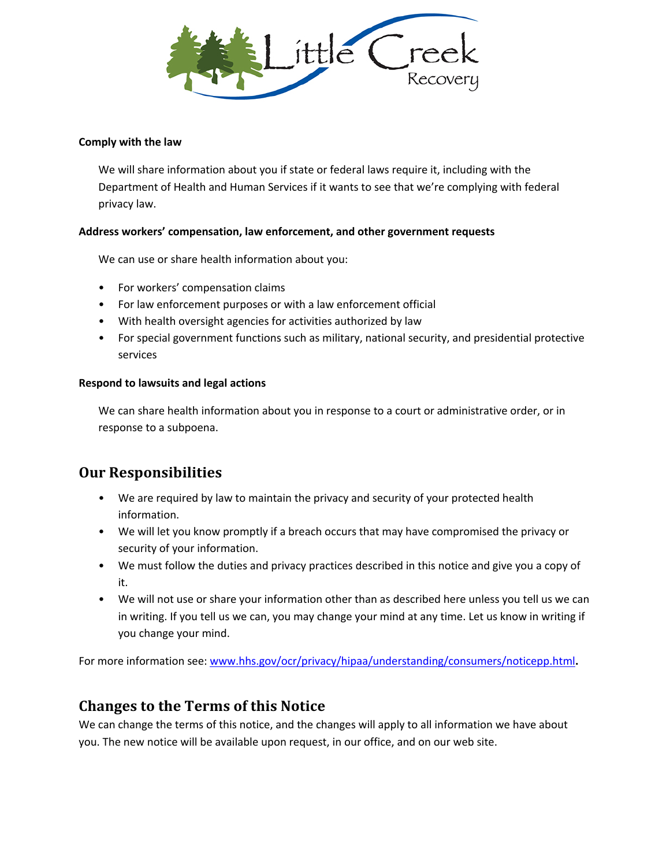

### **Comply with the law**

We will share information about you if state or federal laws require it, including with the Department of Health and Human Services if it wants to see that we're complying with federal privacy law.

### **Address workers' compensation, law enforcement, and other government requests**

We can use or share health information about you:

- For workers' compensation claims
- For law enforcement purposes or with a law enforcement official
- With health oversight agencies for activities authorized by law
- For special government functions such as military, national security, and presidential protective services

### **Respond to lawsuits and legal actions**

We can share health information about you in response to a court or administrative order, or in response to a subpoena.

### **Our Responsibilities**

- We are required by law to maintain the privacy and security of your protected health information.
- We will let you know promptly if a breach occurs that may have compromised the privacy or security of your information.
- We must follow the duties and privacy practices described in this notice and give you a copy of it.
- We will not use or share your information other than as described here unless you tell us we can in writing. If you tell us we can, you may change your mind at any time. Let us know in writing if you change your mind.

For more information see: www.hhs.gov/ocr/privacy/hipaa/understanding/consumers/noticepp.html**.**

### **Changes to the Terms of this Notice**

We can change the terms of this notice, and the changes will apply to all information we have about you. The new notice will be available upon request, in our office, and on our web site.